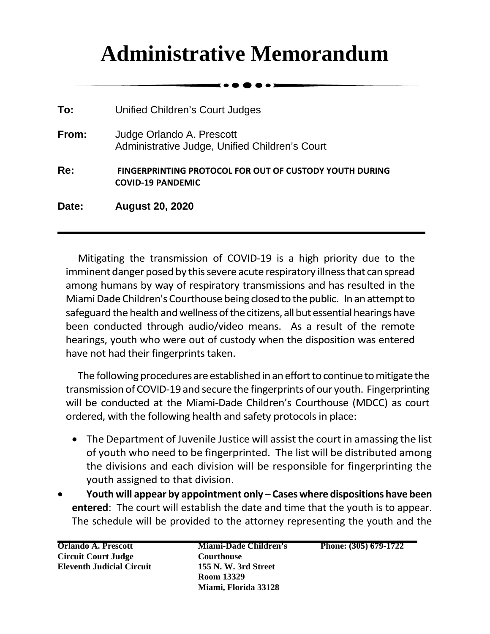## **Administrative Memorandum**

. . . .

| Date: | <b>August 20, 2020</b>                                                              |
|-------|-------------------------------------------------------------------------------------|
| Re:   | FINGERPRINTING PROTOCOL FOR OUT OF CUSTODY YOUTH DURING<br><b>COVID-19 PANDEMIC</b> |
| From: | Judge Orlando A. Prescott<br>Administrative Judge, Unified Children's Court         |
| To:   | Unified Children's Court Judges                                                     |

Mitigating the transmission of COVID-19 is a high priority due to the imminent danger posed by this severe acute respiratory illness that can spread among humans by way of respiratory transmissions and has resulted in the Miami Dade Children's Courthouse being closed to the public. In an attempt to safeguard the health and wellness of the citizens, all but essential hearings have been conducted through audio/video means. As a result of the remote hearings, youth who were out of custody when the disposition was entered have not had their fingerprints taken.

The following procedures are established in aneffort to continue to mitigate the transmission of COVID-19 and secure the fingerprints of our youth. Fingerprinting will be conducted at the Miami-Dade Children's Courthouse (MDCC) as court ordered, with the following health and safety protocols in place:

- The Department of Juvenile Justice will assist the court in amassing the list of youth who need to be fingerprinted. The list will be distributed among the divisions and each division will be responsible for fingerprinting the youth assigned to that division.
- **Youth will appear by appointment only Cases where dispositions have been entered**: The court will establish the date and time that the youth is to appear. The schedule will be provided to the attorney representing the youth and the

**Orlando A. Prescott Circuit Court Judge Eleventh Judicial Circuit** **Miami-Dade Children's Courthouse 155 N. W. 3rd Street Room 13329 Miami, Florida 33128**

**Phone: (305) 679-1722**